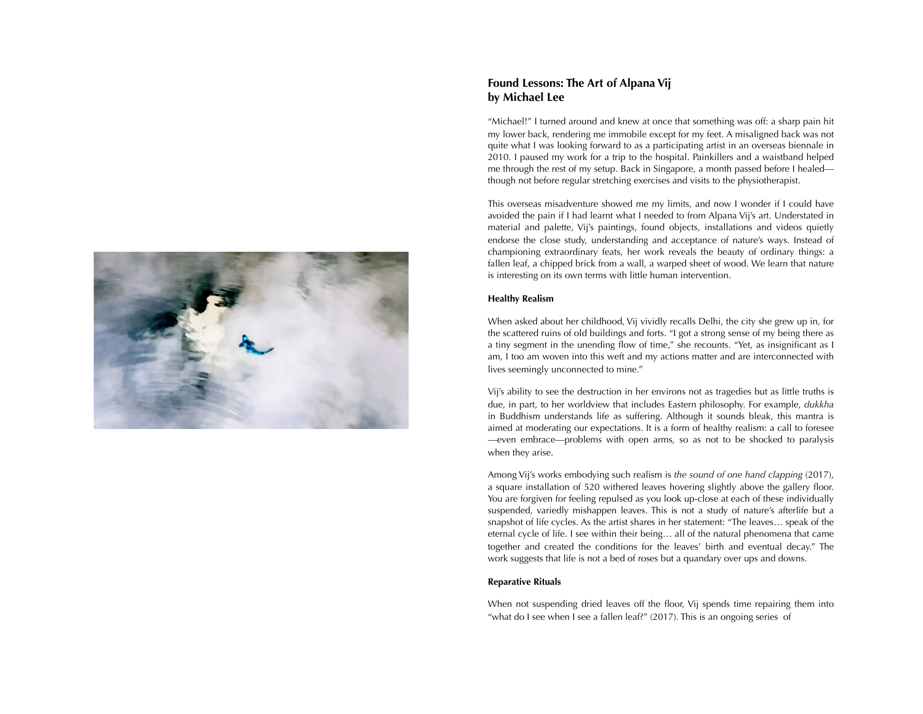

# **Found Lessons: The Art of Alpana Vij by Michael Lee**

"Michael!" I turned around and knew at once that something was off: a sharp pain hit my lower back, rendering me immobile except for my feet. A misaligned back was not quite what I was looking forward to as a participating artist in an overseas biennale in 2010. I paused my work for a trip to the hospital. Painkillers and a waistband helped me through the rest of my setup. Back in Singapore, a month passed before I healed though not before regular stretching exercises and visits to the physiotherapist.

This overseas misadventure showed me my limits, and now I wonder if I could have avoided the pain if I had learnt what I needed to from Alpana Vij's art. Understated in material and palette, Vij's paintings, found objects, installations and videos quietly endorse the close study, understanding and acceptance of nature's ways. Instead of championing extraordinary feats, her work reveals the beauty of ordinary things: a fallen leaf, a chipped brick from a wall, a warped sheet of wood. We learn that nature is interesting on its own terms with little human intervention.

## **Healthy Realism**

When asked about her childhood, Vij vividly recalls Delhi, the city she grew up in, for the scattered ruins of old buildings and forts. "I got a strong sense of my being there as a tiny segment in the unending flow of time," she recounts. "Yet, as insignificant as I am, I too am woven into this weft and my actions matter and are interconnected with lives seemingly unconnected to mine."

Vij's ability to see the destruction in her environs not as tragedies but as little truths is due, in part, to her worldview that includes Eastern philosophy. For example, *dukkha* in Buddhism understands life as suffering. Although it sounds bleak, this mantra is aimed at moderating our expectations. It is a form of healthy realism: a call to foresee —even embrace—problems with open arms, so as not to be shocked to paralysis when they arise.

Among Vij's works embodying such realism is *the sound of one hand clapping* (2017), a square installation of 520 withered leaves hovering slightly above the gallery floor. You are forgiven for feeling repulsed as you look up-close at each of these individually suspended, variedly mishappen leaves. This is not a study of nature's afterlife but a snapshot of life cycles. As the artist shares in her statement: "The leaves… speak of the eternal cycle of life. I see within their being… all of the natural phenomena that came together and created the conditions for the leaves' birth and eventual decay." The work suggests that life is not a bed of roses but a quandary over ups and downs.

### **Reparative Rituals**

When not suspending dried leaves off the floor, Vij spends time repairing them into "what do I see when I see a fallen leaf?" (2017). This is an ongoing series of